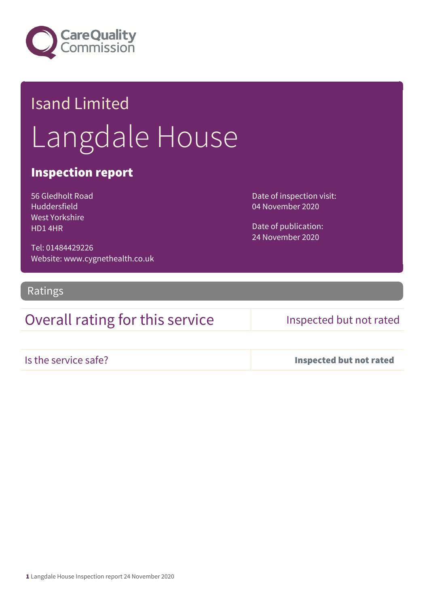

# Isand Limited Langdale House

## Inspection report

56 Gledholt Road Huddersfield West Yorkshire HD1 4HR

Tel: 01484429226 Website: www.cygnethealth.co.uk Date of inspection visit: 04 November 2020

Date of publication: 24 November 2020

Ratings

## Overall rating for this service Inspected but not rated

Is the service safe? Inspected but not rated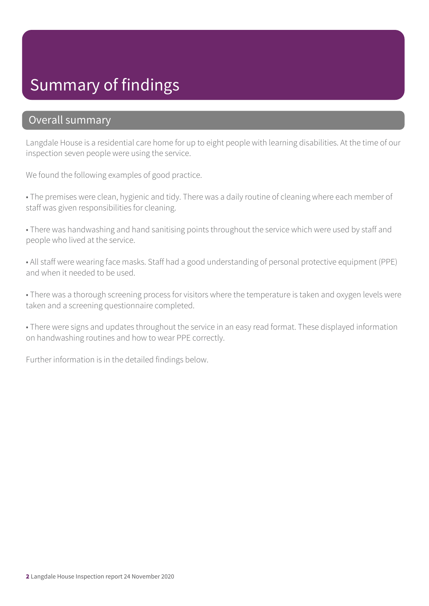# Summary of findings

### Overall summary

Langdale House is a residential care home for up to eight people with learning disabilities. At the time of our inspection seven people were using the service.

We found the following examples of good practice.

• The premises were clean, hygienic and tidy. There was a daily routine of cleaning where each member of staff was given responsibilities for cleaning.

• There was handwashing and hand sanitising points throughout the service which were used by staff and people who lived at the service.

• All staff were wearing face masks. Staff had a good understanding of personal protective equipment (PPE) and when it needed to be used.

• There was a thorough screening process for visitors where the temperature is taken and oxygen levels were taken and a screening questionnaire completed.

• There were signs and updates throughout the service in an easy read format. These displayed information on handwashing routines and how to wear PPE correctly.

Further information is in the detailed findings below.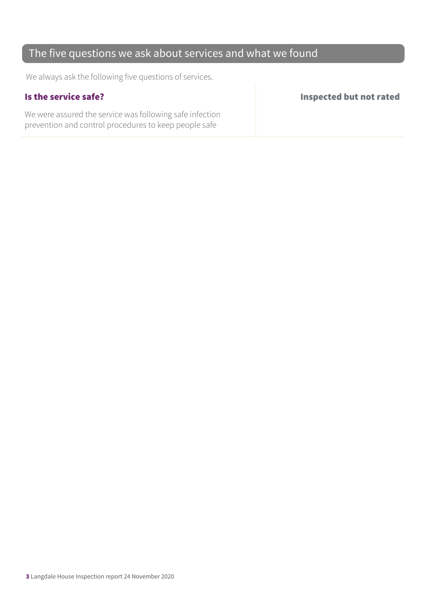### The five questions we ask about services and what we found

We always ask the following five questions of services.

We were assured the service was following safe infection prevention and control procedures to keep people safe

Is the service safe? Inspected but not rated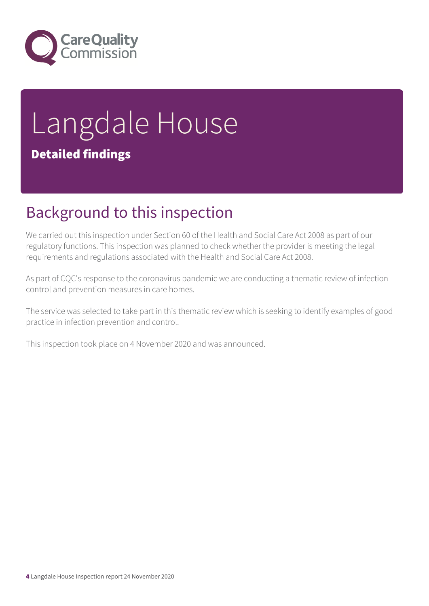

# Langdale House Detailed findings

# Background to this inspection

We carried out this inspection under Section 60 of the Health and Social Care Act 2008 as part of our regulatory functions. This inspection was planned to check whether the provider is meeting the legal requirements and regulations associated with the Health and Social Care Act 2008.

As part of CQC's response to the coronavirus pandemic we are conducting a thematic review of infection control and prevention measures in care homes.

The service was selected to take part in this thematic review which is seeking to identify examples of good practice in infection prevention and control.

This inspection took place on 4 November 2020 and was announced.